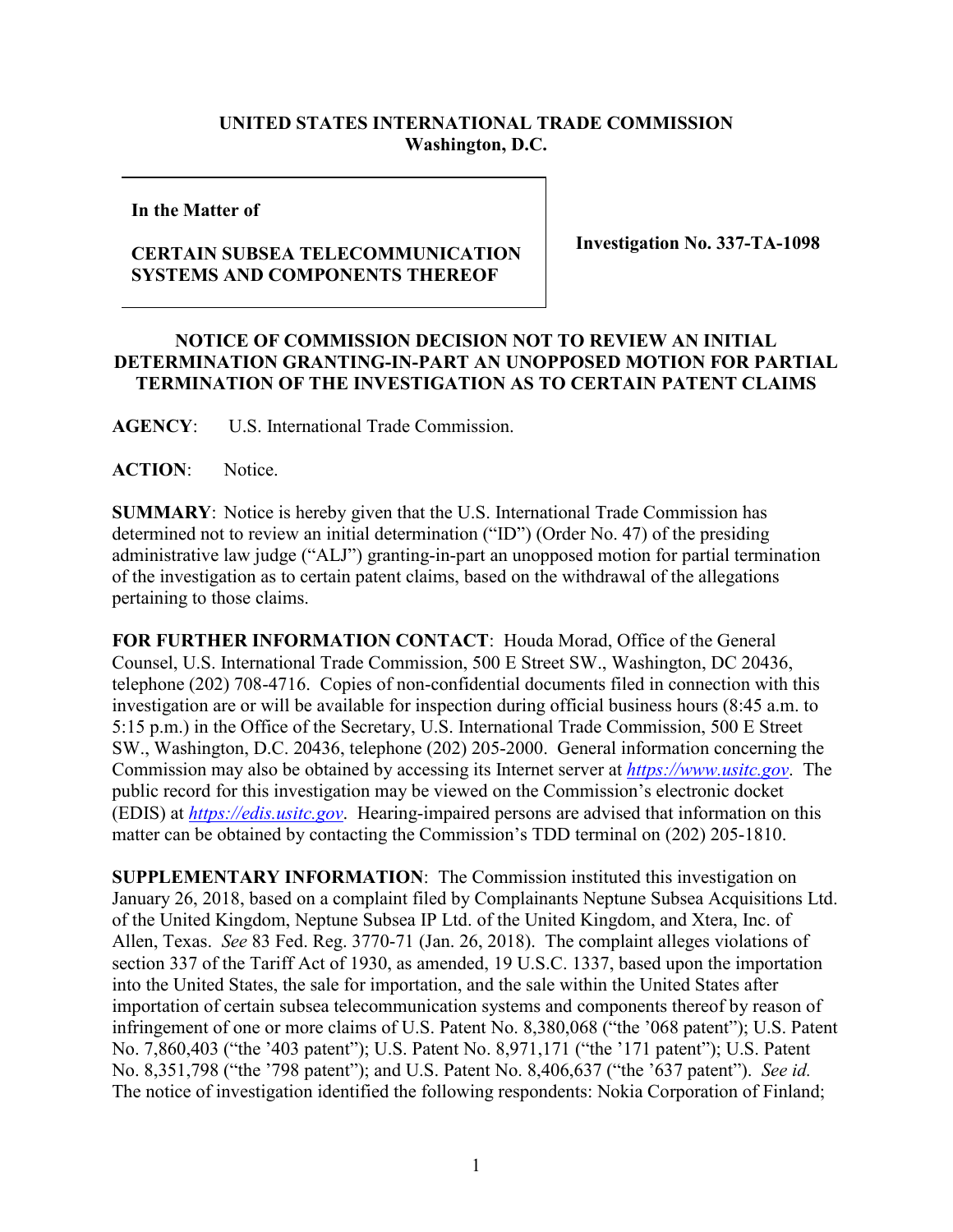## **UNITED STATES INTERNATIONAL TRADE COMMISSION Washington, D.C.**

## **In the Matter of**

## **CERTAIN SUBSEA TELECOMMUNICATION SYSTEMS AND COMPONENTS THEREOF**

**Investigation No. 337-TA-1098**

## **NOTICE OF COMMISSION DECISION NOT TO REVIEW AN INITIAL DETERMINATION GRANTING-IN-PART AN UNOPPOSED MOTION FOR PARTIAL TERMINATION OF THE INVESTIGATION AS TO CERTAIN PATENT CLAIMS**

**AGENCY**: U.S. International Trade Commission.

ACTION: Notice.

**SUMMARY**: Notice is hereby given that the U.S. International Trade Commission has determined not to review an initial determination ("ID") (Order No. 47) of the presiding administrative law judge ("ALJ") granting-in-part an unopposed motion for partial termination of the investigation as to certain patent claims, based on the withdrawal of the allegations pertaining to those claims.

**FOR FURTHER INFORMATION CONTACT**: Houda Morad, Office of the General Counsel, U.S. International Trade Commission, 500 E Street SW., Washington, DC 20436, telephone (202) 708-4716. Copies of non-confidential documents filed in connection with this investigation are or will be available for inspection during official business hours (8:45 a.m. to 5:15 p.m.) in the Office of the Secretary, U.S. International Trade Commission, 500 E Street SW., Washington, D.C. 20436, telephone (202) 205-2000. General information concerning the Commission may also be obtained by accessing its Internet server at *[https://www.usitc.gov](https://www.usitc.gov/)*. The public record for this investigation may be viewed on the Commission's electronic docket (EDIS) at *[https://edis.usitc.gov](http://edis.usitc.gov/)*. Hearing-impaired persons are advised that information on this matter can be obtained by contacting the Commission's TDD terminal on (202) 205-1810.

**SUPPLEMENTARY INFORMATION**: The Commission instituted this investigation on January 26, 2018, based on a complaint filed by Complainants Neptune Subsea Acquisitions Ltd. of the United Kingdom, Neptune Subsea IP Ltd. of the United Kingdom, and Xtera, Inc. of Allen, Texas. *See* 83 Fed. Reg. 3770-71 (Jan. 26, 2018). The complaint alleges violations of section 337 of the Tariff Act of 1930, as amended, 19 U.S.C. 1337, based upon the importation into the United States, the sale for importation, and the sale within the United States after importation of certain subsea telecommunication systems and components thereof by reason of infringement of one or more claims of U.S. Patent No. 8,380,068 ("the '068 patent"); U.S. Patent No. 7,860,403 ("the '403 patent"); U.S. Patent No. 8,971,171 ("the '171 patent"); U.S. Patent No. 8,351,798 ("the '798 patent"); and U.S. Patent No. 8,406,637 ("the '637 patent"). *See id.* The notice of investigation identified the following respondents: Nokia Corporation of Finland;